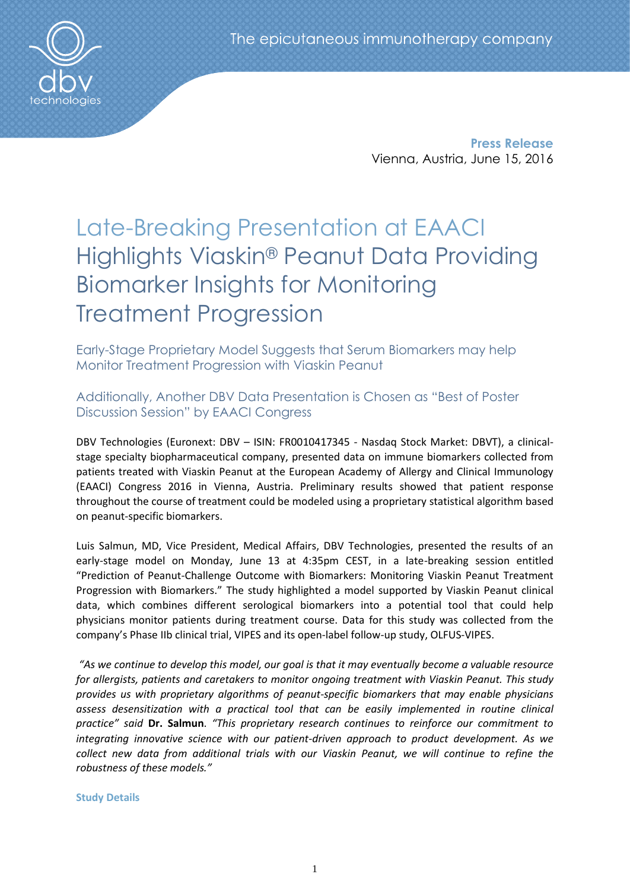**Press Release** Vienna, Austria, June 15, 2016

# Late-Breaking Presentation at EAACI Highlights Viaskin® Peanut Data Providing Biomarker Insights for Monitoring Treatment Progression

Early-Stage Proprietary Model Suggests that Serum Biomarkers may help Monitor Treatment Progression with Viaskin Peanut

# Additionally, Another DBV Data Presentation is Chosen as "Best of Poster Discussion Session" by EAACI Congress

DBV Technologies (Euronext: DBV – ISIN: FR0010417345 - Nasdaq Stock Market: DBVT), a clinicalstage specialty biopharmaceutical company, presented data on immune biomarkers collected from patients treated with Viaskin Peanut at the European Academy of Allergy and Clinical Immunology (EAACI) Congress 2016 in Vienna, Austria. Preliminary results showed that patient response throughout the course of treatment could be modeled using a proprietary statistical algorithm based on peanut-specific biomarkers.

Luis Salmun, MD, Vice President, Medical Affairs, DBV Technologies, presented the results of an early-stage model on Monday, June 13 at 4:35pm CEST, in a late-breaking session entitled "Prediction of Peanut-Challenge Outcome with Biomarkers: Monitoring Viaskin Peanut Treatment Progression with Biomarkers." The study highlighted a model supported by Viaskin Peanut clinical data, which combines different serological biomarkers into a potential tool that could help physicians monitor patients during treatment course. Data for this study was collected from the company's Phase IIb clinical trial, VIPES and its open-label follow-up study, OLFUS-VIPES.

*"As we continue to develop this model, our goal is that it may eventually become a valuable resource for allergists, patients and caretakers to monitor ongoing treatment with Viaskin Peanut. This study provides us with proprietary algorithms of peanut-specific biomarkers that may enable physicians assess desensitization with a practical tool that can be easily implemented in routine clinical practice" said* **Dr. Salmun**. *"This proprietary research continues to reinforce our commitment to integrating innovative science with our patient-driven approach to product development. As we collect new data from additional trials with our Viaskin Peanut, we will continue to refine the robustness of these models."*

**Study Details**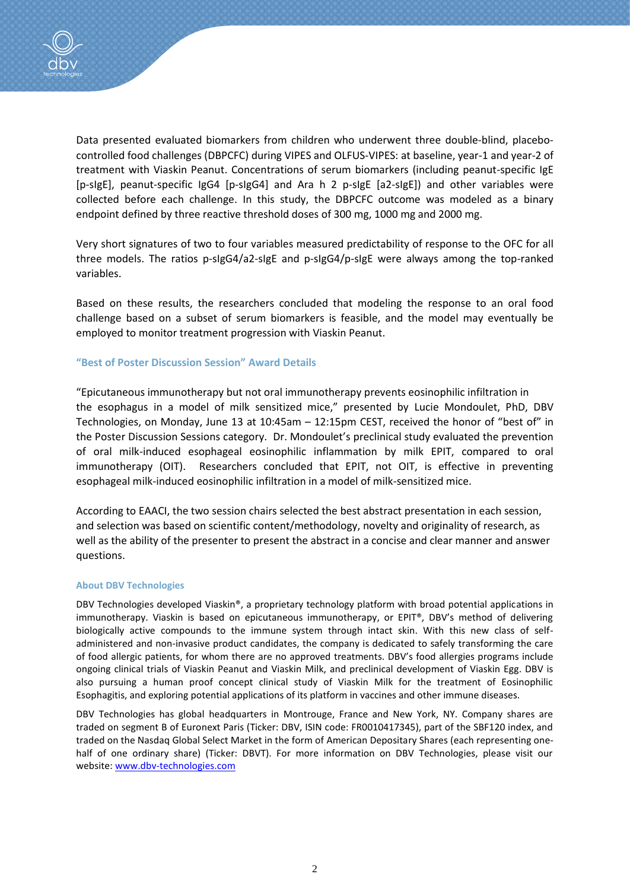

Data presented evaluated biomarkers from children who underwent three double-blind, placebocontrolled food challenges (DBPCFC) during VIPES and OLFUS-VIPES: at baseline, year-1 and year-2 of treatment with Viaskin Peanut. Concentrations of serum biomarkers (including peanut-specific IgE [p-sIgE], peanut-specific IgG4 [p-sIgG4] and Ara h 2 p-sIgE [a2-sIgE]) and other variables were collected before each challenge. In this study, the DBPCFC outcome was modeled as a binary endpoint defined by three reactive threshold doses of 300 mg, 1000 mg and 2000 mg.

Very short signatures of two to four variables measured predictability of response to the OFC for all three models. The ratios p-sIgG4/a2-sIgE and p-sIgG4/p-sIgE were always among the top-ranked variables.

Based on these results, the researchers concluded that modeling the response to an oral food challenge based on a subset of serum biomarkers is feasible, and the model may eventually be employed to monitor treatment progression with Viaskin Peanut.

# **"Best of Poster Discussion Session" Award Details**

"Epicutaneous immunotherapy but not oral immunotherapy prevents eosinophilic infiltration in the esophagus in a model of milk sensitized mice," presented by Lucie Mondoulet, PhD, DBV Technologies, on Monday, June 13 at 10:45am – 12:15pm CEST, received the honor of "best of" in the Poster Discussion Sessions category. Dr. Mondoulet's preclinical study evaluated the prevention of oral milk-induced esophageal eosinophilic inflammation by milk EPIT, compared to oral immunotherapy (OIT). Researchers concluded that EPIT, not OIT, is effective in preventing esophageal milk-induced eosinophilic infiltration in a model of milk-sensitized mice.

According to EAACI, the two session chairs selected the best abstract presentation in each session, and selection was based on scientific content/methodology, novelty and originality of research, as well as the ability of the presenter to present the abstract in a concise and clear manner and answer questions.

## **About DBV Technologies**

DBV Technologies developed Viaskin®, a proprietary technology platform with broad potential applications in immunotherapy. Viaskin is based on epicutaneous immunotherapy, or EPIT®, DBV's method of delivering biologically active compounds to the immune system through intact skin. With this new class of selfadministered and non-invasive product candidates, the company is dedicated to safely transforming the care of food allergic patients, for whom there are no approved treatments. DBV's food allergies programs include ongoing clinical trials of Viaskin Peanut and Viaskin Milk, and preclinical development of Viaskin Egg. DBV is also pursuing a human proof concept clinical study of Viaskin Milk for the treatment of Eosinophilic Esophagitis, and exploring potential applications of its platform in vaccines and other immune diseases.

DBV Technologies has global headquarters in Montrouge, France and New York, NY. Company shares are traded on segment B of Euronext Paris (Ticker: DBV, ISIN code: FR0010417345), part of the SBF120 index, and traded on the Nasdaq Global Select Market in the form of American Depositary Shares (each representing onehalf of one ordinary share) (Ticker: DBVT). For more information on DBV Technologies, please visit our website: [www.dbv-technologies.com](http://www.dbv-technologies.com/)